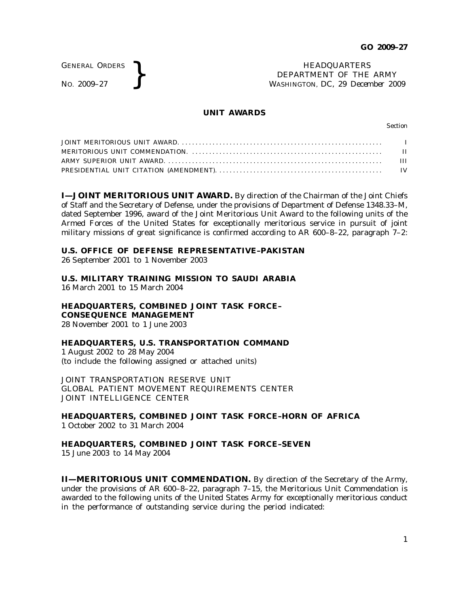GENERAL ORDERS

GENERAL ORDERS **}**<br>No. 2009–27 **}**<br>No. 2009–27 **}**<br>NASHINGTON, DC, 29 Decem DEPARTMENT OF THE ARMY WASHINGTON, DC, *29 December 2009*

### **UNIT AWARDS**

Section

**I—JOINT MERITORIOUS UNIT AWARD.** By direction of the Chairman of the Joint Chiefs of Staff and the Secretary of Defense, under the provisions of Department of Defense 1348.33–M, dated September 1996, award of the Joint Meritorious Unit Award to the following units of the Armed Forces of the United States for exceptionally meritorious service in pursuit of joint military missions of great significance is confirmed according to AR 600–8–22, paragraph 7–2:

### **U.S. OFFICE OF DEFENSE REPRESENTATIVE–PAKISTAN**

26 September 2001 to 1 November 2003

**U.S. MILITARY TRAINING MISSION TO SAUDI ARABIA** 16 March 2001 to 15 March 2004

**HEADQUARTERS, COMBINED JOINT TASK FORCE– CONSEQUENCE MANAGEMENT** 28 November 2001 to 1 June 2003

# **HEADQUARTERS, U.S. TRANSPORTATION COMMAND**

1 August 2002 to 28 May 2004 (to include the following assigned or attached units)

JOINT TRANSPORTATION RESERVE UNIT GLOBAL PATIENT MOVEMENT REQUIREMENTS CENTER JOINT INTELLIGENCE CENTER

**HEADQUARTERS, COMBINED JOINT TASK FORCE–HORN OF AFRICA** 1 October 2002 to 31 March 2004

# **HEADQUARTERS, COMBINED JOINT TASK FORCE–SEVEN**

15 June 2003 to 14 May 2004

**II—MERITORIOUS UNIT COMMENDATION.** By direction of the Secretary of the Army, under the provisions of AR 600–8–22, paragraph 7–15, the Meritorious Unit Commendation is awarded to the following units of the United States Army for exceptionally meritorious conduct in the performance of outstanding service during the period indicated: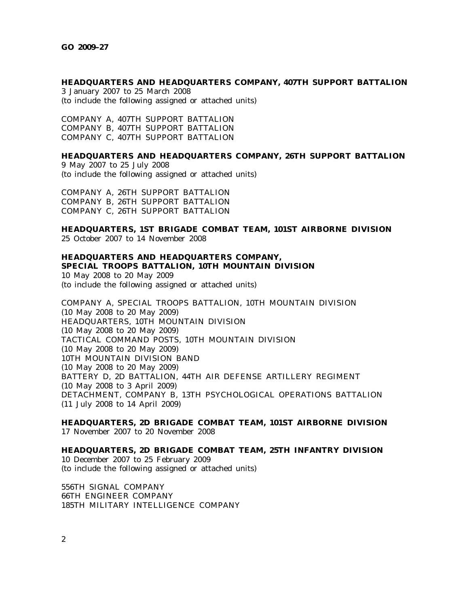#### **HEADQUARTERS AND HEADQUARTERS COMPANY, 407TH SUPPORT BATTALION**

3 January 2007 to 25 March 2008 (to include the following assigned or attached units)

COMPANY A, 407TH SUPPORT BATTALION COMPANY B, 407TH SUPPORT BATTALION COMPANY C, 407TH SUPPORT BATTALION

## **HEADQUARTERS AND HEADQUARTERS COMPANY, 26TH SUPPORT BATTALION**

9 May 2007 to 25 July 2008 (to include the following assigned or attached units)

COMPANY A, 26TH SUPPORT BATTALION COMPANY B, 26TH SUPPORT BATTALION COMPANY C, 26TH SUPPORT BATTALION

## **HEADQUARTERS, 1ST BRIGADE COMBAT TEAM, 101ST AIRBORNE DIVISION**

25 October 2007 to 14 November 2008

# **HEADQUARTERS AND HEADQUARTERS COMPANY, SPECIAL TROOPS BATTALION, 10TH MOUNTAIN DIVISION**

10 May 2008 to 20 May 2009 (to include the following assigned or attached units)

COMPANY A, SPECIAL TROOPS BATTALION, 10TH MOUNTAIN DIVISION (10 May 2008 to 20 May 2009) HEADQUARTERS, 10TH MOUNTAIN DIVISION (10 May 2008 to 20 May 2009) TACTICAL COMMAND POSTS, 10TH MOUNTAIN DIVISION (10 May 2008 to 20 May 2009) 10TH MOUNTAIN DIVISION BAND (10 May 2008 to 20 May 2009) BATTERY D, 2D BATTALION, 44TH AIR DEFENSE ARTILLERY REGIMENT (10 May 2008 to 3 April 2009) DETACHMENT, COMPANY B, 13TH PSYCHOLOGICAL OPERATIONS BATTALION (11 July 2008 to 14 April 2009)

**HEADQUARTERS, 2D BRIGADE COMBAT TEAM, 101ST AIRBORNE DIVISION** 17 November 2007 to 20 November 2008

**HEADQUARTERS, 2D BRIGADE COMBAT TEAM, 25TH INFANTRY DIVISION** 10 December 2007 to 25 February 2009 (to include the following assigned or attached units)

556TH SIGNAL COMPANY 66TH ENGINEER COMPANY 185TH MILITARY INTELLIGENCE COMPANY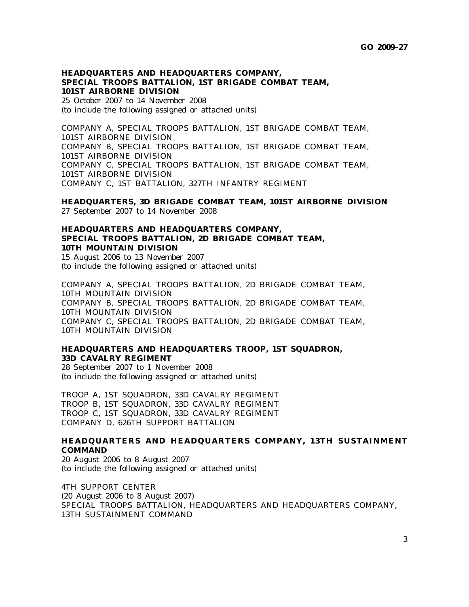## **HEADQUARTERS AND HEADQUARTERS COMPANY, SPECIAL TROOPS BATTALION, 1ST BRIGADE COMBAT TEAM, 101ST AIRBORNE DIVISION**

25 October 2007 to 14 November 2008 (to include the following assigned or attached units)

COMPANY A, SPECIAL TROOPS BATTALION, 1ST BRIGADE COMBAT TEAM, 101ST AIRBORNE DIVISION COMPANY B, SPECIAL TROOPS BATTALION, 1ST BRIGADE COMBAT TEAM, 101ST AIRBORNE DIVISION COMPANY C, SPECIAL TROOPS BATTALION, 1ST BRIGADE COMBAT TEAM, 101ST AIRBORNE DIVISION COMPANY C, 1ST BATTALION, 327TH INFANTRY REGIMENT

**HEADQUARTERS, 3D BRIGADE COMBAT TEAM, 101ST AIRBORNE DIVISION** 27 September 2007 to 14 November 2008

# **HEADQUARTERS AND HEADQUARTERS COMPANY, SPECIAL TROOPS BATTALION, 2D BRIGADE COMBAT TEAM, 10TH MOUNTAIN DIVISION**

15 August 2006 to 13 November 2007 (to include the following assigned or attached units)

COMPANY A, SPECIAL TROOPS BATTALION, 2D BRIGADE COMBAT TEAM, 10TH MOUNTAIN DIVISION COMPANY B, SPECIAL TROOPS BATTALION, 2D BRIGADE COMBAT TEAM, 10TH MOUNTAIN DIVISION COMPANY C, SPECIAL TROOPS BATTALION, 2D BRIGADE COMBAT TEAM, 10TH MOUNTAIN DIVISION

## **HEADQUARTERS AND HEADQUARTERS TROOP, 1ST SQUADRON, 33D CAVALRY REGIMENT**

28 September 2007 to 1 November 2008 (to include the following assigned or attached units)

TROOP A, 1ST SQUADRON, 33D CAVALRY REGIMENT TROOP B, 1ST SQUADRON, 33D CAVALRY REGIMENT TROOP C, 1ST SQUADRON, 33D CAVALRY REGIMENT COMPANY D, 626TH SUPPORT BATTALION

## **HEADQUARTERS AND HEADQUARTERS COMPANY, 13TH SUSTAINMENT COMMAND**

20 August 2006 to 8 August 2007 (to include the following assigned or attached units)

4TH SUPPORT CENTER (20 August 2006 to 8 August 2007) SPECIAL TROOPS BATTALION, HEADQUARTERS AND HEADQUARTERS COMPANY, 13TH SUSTAINMENT COMMAND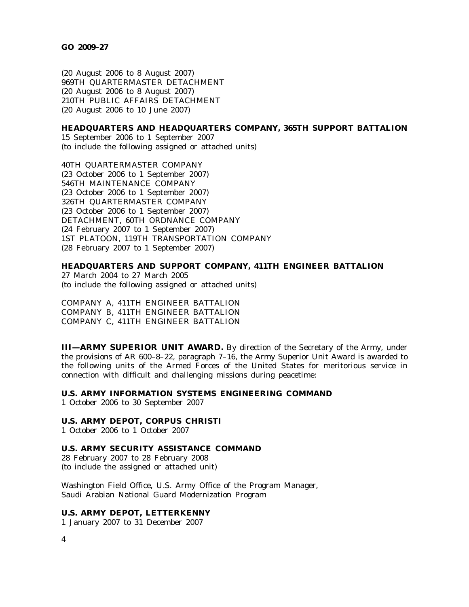(20 August 2006 to 8 August 2007) 969TH QUARTERMASTER DETACHMENT (20 August 2006 to 8 August 2007) 210TH PUBLIC AFFAIRS DETACHMENT (20 August 2006 to 10 June 2007)

### **HEADQUARTERS AND HEADQUARTERS COMPANY, 365TH SUPPORT BATTALION**

15 September 2006 to 1 September 2007 (to include the following assigned or attached units)

40TH QUARTERMASTER COMPANY (23 October 2006 to 1 September 2007) 546TH MAINTENANCE COMPANY (23 October 2006 to 1 September 2007) 326TH QUARTERMASTER COMPANY (23 October 2006 to 1 September 2007) DETACHMENT, 60TH ORDNANCE COMPANY (24 February 2007 to 1 September 2007) 1ST PLATOON, 119TH TRANSPORTATION COMPANY (28 February 2007 to 1 September 2007)

# **HEADQUARTERS AND SUPPORT COMPANY, 411TH ENGINEER BATTALION**

27 March 2004 to 27 March 2005 (to include the following assigned or attached units)

COMPANY A, 411TH ENGINEER BATTALION COMPANY B, 411TH ENGINEER BATTALION COMPANY C, 411TH ENGINEER BATTALION

**III—ARMY SUPERIOR UNIT AWARD.** By direction of the Secretary of the Army, under the provisions of AR 600–8–22, paragraph 7–16, the Army Superior Unit Award is awarded to the following units of the Armed Forces of the United States for meritorious service in connection with difficult and challenging missions during peacetime:

# **U.S. ARMY INFORMATION SYSTEMS ENGINEERING COMMAND**

1 October 2006 to 30 September 2007

### **U.S. ARMY DEPOT, CORPUS CHRISTI**

1 October 2006 to 1 October 2007

# **U.S. ARMY SECURITY ASSISTANCE COMMAND**

28 February 2007 to 28 February 2008 (to include the assigned or attached unit)

Washington Field Office, U.S. Army Office of the Program Manager, Saudi Arabian National Guard Modernization Program

#### **U.S. ARMY DEPOT, LETTERKENNY**

1 January 2007 to 31 December 2007